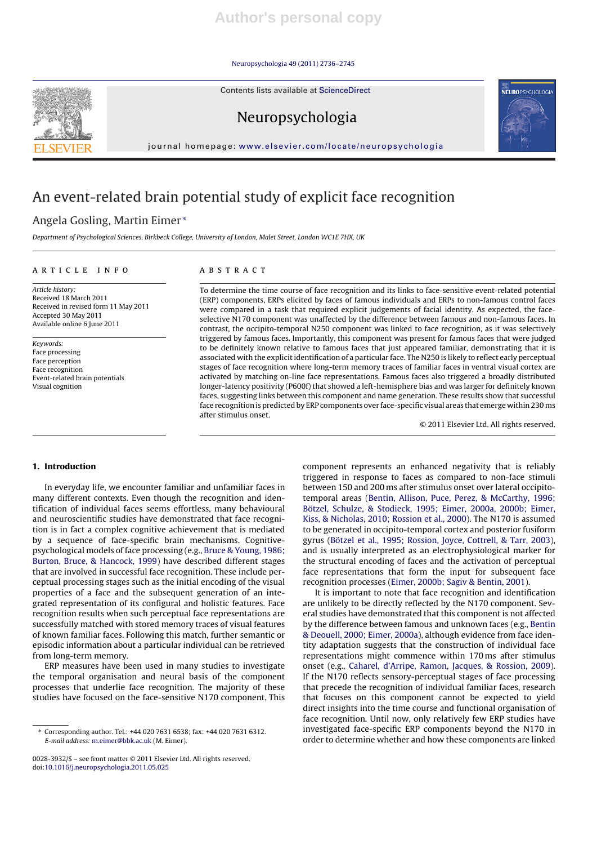Neuropsychologia 49 (2011) 2736–2745

Contents lists available at ScienceDirect



Neuropsychologia



# An event-related brain potential study of explicit face recognition

## Angela Gosling, Martin Eimer <sup>∗</sup>

Department of Psychological Sciences, Birkbeck College, University of London, Malet Street, London WC1E 7HX, UK

#### a r t i c l e i n f o

Article history: Received 18 March 2011 Received in revised form 11 May 2011 Accepted 30 May 2011 Available online 6 June 2011

Keywords: Face processing Face perception Face recognition Event-related brain potentials Visual cognition

#### A B S T R A C T

To determine the time course of face recognition and its links to face-sensitive event-related potential (ERP) components, ERPs elicited by faces of famous individuals and ERPs to non-famous control faces were compared in a task that required explicit judgements of facial identity. As expected, the faceselective N170 component was unaffected by the difference between famous and non-famous faces. In contrast, the occipito-temporal N250 component was linked to face recognition, as it was selectively triggered by famous faces. Importantly, this component was present for famous faces that were judged to be definitely known relative to famous faces that just appeared familiar, demonstrating that it is associated with the explicitidentification of a particular face. The N250 is likely to reflect early perceptual stages of face recognition where long-term memory traces of familiar faces in ventral visual cortex are activated by matching on-line face representations. Famous faces also triggered a broadly distributed longer-latency positivity (P600f) that showed a left-hemisphere bias and was larger for definitely known faces, suggesting links between this component and name generation. These results show that successful face recognition is predicted by ERP components over face-specific visual areas that emerge within 230 ms after stimulus onset.

© 2011 Elsevier Ltd. All rights reserved.

NEUROPSYCHOLOGIA

#### **1. Introduction**

In everyday life, we encounter familiar and unfamiliar faces in many different contexts. Even though the recognition and identification of individual faces seems effortless, many behavioural and neuroscientific studies have demonstrated that face recognition is in fact a complex cognitive achievement that is mediated by a sequence of face-specific brain mechanisms. Cognitivepsychological models of face processing (e.g., Bruce & Young, 1986; Burton, Bruce, & Hancock, 1999) have described different stages that are involved in successful face recognition. These include perceptual processing stages such as the initial encoding of the visual properties of a face and the subsequent generation of an integrated representation of its configural and holistic features. Face recognition results when such perceptual face representations are successfully matched with stored memory traces of visual features of known familiar faces. Following this match, further semantic or episodic information about a particular individual can be retrieved from long-term memory.

ERP measures have been used in many studies to investigate the temporal organisation and neural basis of the component processes that underlie face recognition. The majority of these studies have focused on the face-sensitive N170 component. This component represents an enhanced negativity that is reliably triggered in response to faces as compared to non-face stimuli between 150 and 200 ms after stimulus onset over lateral occipitotemporal areas (Bentin, Allison, Puce, Perez, & McCarthy, 1996; Bötzel, Schulze, & Stodieck, 1995; Eimer, 2000a, 2000b; Eimer, Kiss, & Nicholas, 2010; Rossion et al., 2000). The N170 is assumed to be generated in occipito-temporal cortex and posterior fusiform gyrus (Bötzel et al., 1995; Rossion, Joyce, Cottrell, & Tarr, 2003), and is usually interpreted as an electrophysiological marker for the structural encoding of faces and the activation of perceptual face representations that form the input for subsequent face recognition processes (Eimer, 2000b; Sagiv & Bentin, 2001).

It is important to note that face recognition and identification are unlikely to be directly reflected by the N170 component. Several studies have demonstrated that this component is not affected by the difference between famous and unknown faces (e.g., Bentin & Deouell, 2000; Eimer, 2000a), although evidence from face identity adaptation suggests that the construction of individual face representations might commence within 170 ms after stimulus onset (e.g., Caharel, d'Arripe, Ramon, Jacques, & Rossion, 2009). If the N170 reflects sensory-perceptual stages of face processing that precede the recognition of individual familiar faces, research that focuses on this component cannot be expected to yield direct insights into the time course and functional organisation of face recognition. Until now, only relatively few ERP studies have investigated face-specific ERP components beyond the N170 in order to determine whether and how these components are linked

<sup>∗</sup> Corresponding author. Tel.: +44 020 7631 6538; fax: +44 020 7631 6312. E-mail address: m.eimer@bbk.ac.uk (M. Eimer).

<sup>0028-3932/\$</sup> – see front matter © 2011 Elsevier Ltd. All rights reserved. doi:10.1016/j.neuropsychologia.2011.05.025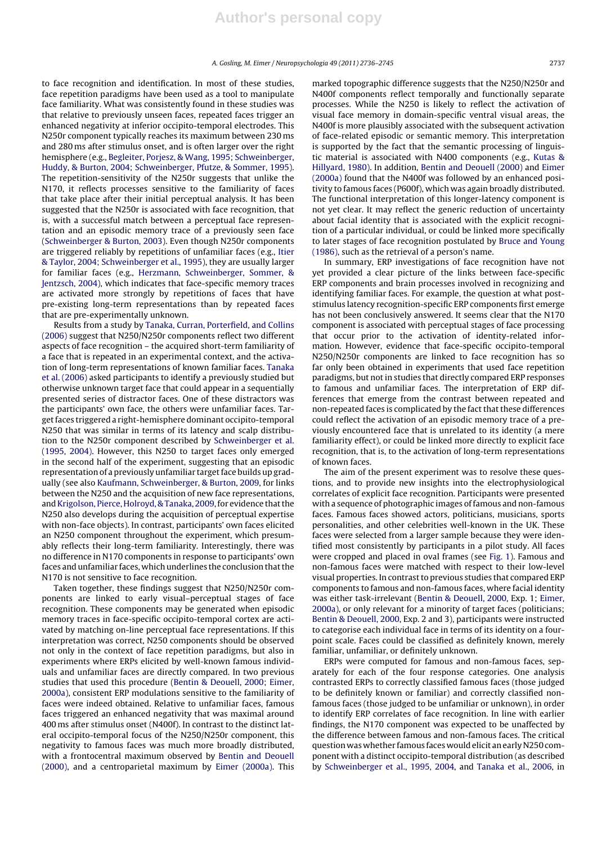to face recognition and identification. In most of these studies, face repetition paradigms have been used as a tool to manipulate face familiarity. What was consistently found in these studies was that relative to previously unseen faces, repeated faces trigger an enhanced negativity at inferior occipito-temporal electrodes. This N250r component typically reaches its maximum between 230 ms and 280 ms after stimulus onset, and is often larger over the right hemisphere (e.g., Begleiter, Porjesz, & Wang, 1995; Schweinberger, Huddy, & Burton, 2004; Schweinberger, Pfutze, & Sommer, 1995). The repetition-sensitivity of the N250r suggests that unlike the N170, it reflects processes sensitive to the familiarity of faces that take place after their initial perceptual analysis. It has been suggested that the N250r is associated with face recognition, that is, with a successful match between a perceptual face representation and an episodic memory trace of a previously seen face (Schweinberger & Burton, 2003). Even though N250r components are triggered reliably by repetitions of unfamiliar faces (e.g., Itier & Taylor, 2004; Schweinberger et al., 1995), they are usually larger for familiar faces (e.g., Herzmann, Schweinberger, Sommer, & Jentzsch, 2004), which indicates that face-specific memory traces are activated more strongly by repetitions of faces that have pre-existing long-term representations than by repeated faces that are pre-experimentally unknown.

Results from a study by Tanaka, Curran, Porterfield, and Collins (2006) suggest that N250/N250r components reflect two different aspects of face recognition – the acquired short-term familiarity of a face that is repeated in an experimental context, and the activation of long-term representations of known familiar faces. Tanaka et al. (2006) asked participants to identify a previously studied but otherwise unknown target face that could appear in a sequentially presented series of distractor faces. One of these distractors was the participants' own face, the others were unfamiliar faces. Targetfaces triggered a right-hemisphere dominant occipito-temporal N250 that was similar in terms of its latency and scalp distribution to the N250r component described by Schweinberger et al. (1995, 2004). However, this N250 to target faces only emerged in the second half of the experiment, suggesting that an episodic representation of a previously unfamiliar target face builds up gradually (see also Kaufmann, Schweinberger, & Burton, 2009, for links between the N250 and the acquisition of new face representations, and Krigolson, Pierce, Holroyd, & Tanaka, 2009, for evidence that the N250 also develops during the acquisition of perceptual expertise with non-face objects). In contrast, participants' own faces elicited an N250 component throughout the experiment, which presumably reflects their long-term familiarity. Interestingly, there was no difference in N170 components in response to participants' own faces and unfamiliar faces, which underlines the conclusion that the N170 is not sensitive to face recognition.

Taken together, these findings suggest that N250/N250r components are linked to early visual–perceptual stages of face recognition. These components may be generated when episodic memory traces in face-specific occipito-temporal cortex are activated by matching on-line perceptual face representations. If this interpretation was correct, N250 components should be observed not only in the context of face repetition paradigms, but also in experiments where ERPs elicited by well-known famous individuals and unfamiliar faces are directly compared. In two previous studies that used this procedure (Bentin & Deouell, 2000; Eimer, 2000a), consistent ERP modulations sensitive to the familiarity of faces were indeed obtained. Relative to unfamiliar faces, famous faces triggered an enhanced negativity that was maximal around 400 ms after stimulus onset (N400f). In contrast to the distinct lateral occipito-temporal focus of the N250/N250r component, this negativity to famous faces was much more broadly distributed, with a frontocentral maximum observed by Bentin and Deouell (2000), and a centroparietal maximum by Eimer (2000a). This marked topographic difference suggests that the N250/N250r and N400f components reflect temporally and functionally separate processes. While the N250 is likely to reflect the activation of visual face memory in domain-specific ventral visual areas, the N400f is more plausibly associated with the subsequent activation of face-related episodic or semantic memory. This interpretation is supported by the fact that the semantic processing of linguistic material is associated with N400 components (e.g., Kutas & Hillyard, 1980). In addition, Bentin and Deouell (2000) and Eimer (2000a) found that the N400f was followed by an enhanced positivity to famous faces (P600f), which was again broadly distributed. The functional interpretation of this longer-latency component is not yet clear. It may reflect the generic reduction of uncertainty about facial identity that is associated with the explicit recognition of a particular individual, or could be linked more specifically to later stages of face recognition postulated by Bruce and Young (1986), such as the retrieval of a person's name.

In summary, ERP investigations of face recognition have not yet provided a clear picture of the links between face-specific ERP components and brain processes involved in recognizing and identifying familiar faces. For example, the question at what poststimulus latency recognition-specific ERP components first emerge has not been conclusively answered. It seems clear that the N170 component is associated with perceptual stages of face processing that occur prior to the activation of identity-related information. However, evidence that face-specific occipito-temporal N250/N250r components are linked to face recognition has so far only been obtained in experiments that used face repetition paradigms, but not in studies that directly compared ERP responses to famous and unfamiliar faces. The interpretation of ERP differences that emerge from the contrast between repeated and non-repeated faces is complicated by the fact that these differences could reflect the activation of an episodic memory trace of a previously encountered face that is unrelated to its identity (a mere familiarity effect), or could be linked more directly to explicit face recognition, that is, to the activation of long-term representations of known faces.

The aim of the present experiment was to resolve these questions, and to provide new insights into the electrophysiological correlates of explicit face recognition. Participants were presented with a sequence of photographic images of famous and non-famous faces. Famous faces showed actors, politicians, musicians, sports personalities, and other celebrities well-known in the UK. These faces were selected from a larger sample because they were identified most consistently by participants in a pilot study. All faces were cropped and placed in oval frames (see Fig. 1). Famous and non-famous faces were matched with respect to their low-level visual properties. In contrast to previous studies that compared ERP components to famous and non-famous faces, where facial identity was either task-irrelevant (Bentin & Deouell, 2000, Exp. 1; Eimer, 2000a), or only relevant for a minority of target faces (politicians; Bentin & Deouell, 2000, Exp. 2 and 3), participants were instructed to categorise each individual face in terms of its identity on a fourpoint scale. Faces could be classified as definitely known, merely familiar, unfamiliar, or definitely unknown.

ERPs were computed for famous and non-famous faces, separately for each of the four response categories. One analysis contrasted ERPs to correctly classified famous faces (those judged to be definitely known or familiar) and correctly classified nonfamous faces (those judged to be unfamiliar or unknown), in order to identify ERP correlates of face recognition. In line with earlier findings, the N170 component was expected to be unaffected by the difference between famous and non-famous faces. The critical question was whether famous faces wouldelicit anearlyN250 component with a distinct occipito-temporal distribution (as described by Schweinberger et al., 1995, 2004, and Tanaka et al., 2006, in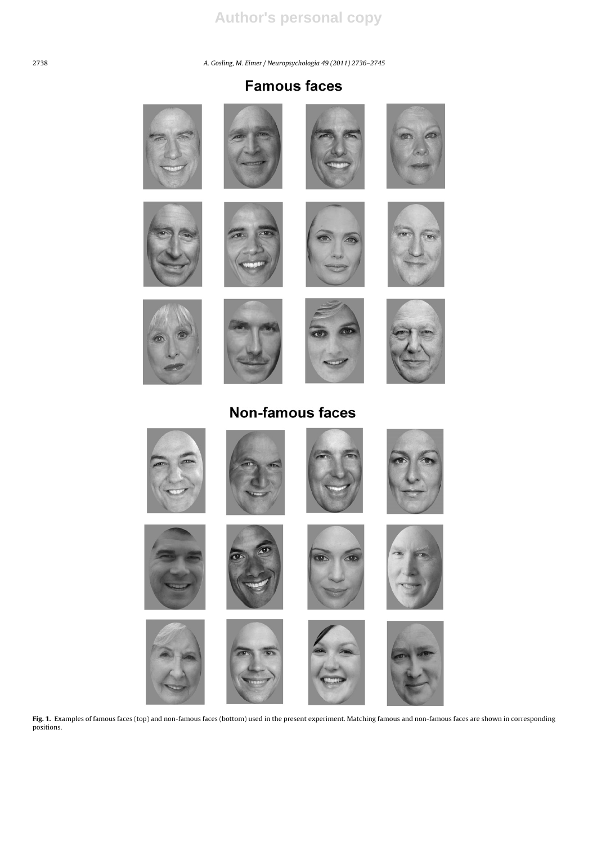2738 A. Gosling, M. Eimer / Neuropsychologia *49 (2011) 2736–2745*

# **Famous faces**



















**Non-famous faces** 



Fig. 1. Examples of famous faces (top) and non-famous faces (bottom) used in the present experiment. Matching famous and non-famous faces are shown in corresponding positions.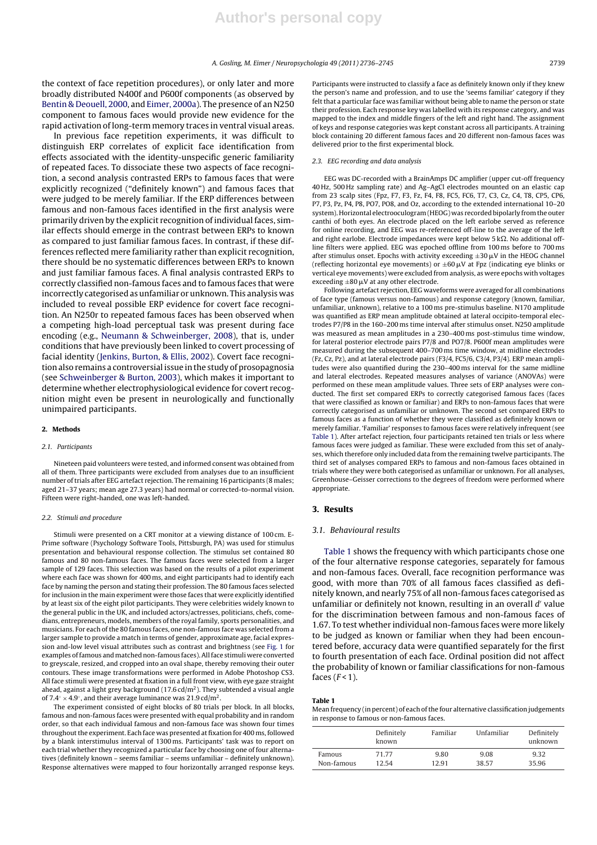the context of face repetition procedures), or only later and more broadly distributed N400f and P600f components (as observed by Bentin & Deouell, 2000, and Eimer, 2000a). The presence of an N250 component to famous faces would provide new evidence for the rapid activation of long-term memory traces in ventral visual areas.

In previous face repetition experiments, it was difficult to distinguish ERP correlates of explicit face identification from effects associated with the identity-unspecific generic familiarity of repeated faces. To dissociate these two aspects of face recognition, a second analysis contrasted ERPs to famous faces that were explicitly recognized ("definitely known") and famous faces that were judged to be merely familiar. If the ERP differences between famous and non-famous faces identified in the first analysis were primarily driven by the explicit recognition of individual faces, similar effects should emerge in the contrast between ERPs to known as compared to just familiar famous faces. In contrast, if these differences reflected mere familiarity rather than explicit recognition, there should be no systematic differences between ERPs to known and just familiar famous faces. A final analysis contrasted ERPs to correctly classified non-famous faces and to famous faces that were incorrectly categorised as unfamiliar or unknown. This analysis was included to reveal possible ERP evidence for covert face recognition. An N250r to repeated famous faces has been observed when a competing high-load perceptual task was present during face encoding (e.g., Neumann & Schweinberger, 2008), that is, under conditions that have previously been linked to covert processing of facial identity (Jenkins, Burton, & Ellis, 2002). Covert face recognitionalso remains a controversialissue inthe study of prosopagnosia (see Schweinberger & Burton, 2003), which makes it important to determine whether electrophysiological evidence for covert recognition might even be present in neurologically and functionally unimpaired participants.

#### **2. Methods**

#### 2.1. Participants

Nineteen paid volunteers were tested, and informed consent was obtained from all of them. Three participants were excluded from analyses due to an insufficient number oftrials after EEG artefact rejection. The remaining 16 participants (8 males; aged 21–37 years; mean age 27.3 years) had normal or corrected-to-normal vision. Fifteen were right-handed, one was left-handed.

#### 2.2. Stimuli and procedure

Stimuli were presented on a CRT monitor at a viewing distance of 100 cm. E-Prime software (Psychology Software Tools, Pittsburgh, PA) was used for stimulus presentation and behavioural response collection. The stimulus set contained 80 famous and 80 non-famous faces. The famous faces were selected from a larger sample of 129 faces. This selection was based on the results of a pilot experiment where each face was shown for 400 ms, and eight participants had to identify each face by naming the person and stating their profession. The 80 famous faces selected for inclusion in the main experiment were those faces that were explicitly identified by at least six of the eight pilot participants. They were celebrities widely known to the general public in the UK, and included actors/actresses, politicians, chefs, comedians, entrepreneurs, models, members of the royal family, sports personalities, and musicians. For each ofthe 80 famous faces, one non-famous face was selected from a larger sample to provide a match in terms of gender, approximate age, facial expression and-low level visual attributes such as contrast and brightness (see Fig. 1 for examples offamous and matched non-famous faces).Allface stimuli were converted to greyscale, resized, and cropped into an oval shape, thereby removing their outer contours. These image transformations were performed in Adobe Photoshop CS3. All face stimuli were presented at fixation in a full front view, with eye gaze straight ahead, against a light grey background (17.6  $cd/m<sup>2</sup>$ ). They subtended a visual angle of 7.4 $\degree$  × 4.9 $\degree$ , and their average luminance was 21.9 cd/m<sup>2</sup>.

The experiment consisted of eight blocks of 80 trials per block. In all blocks, famous and non-famous faces were presented with equal probability and in random order, so that each individual famous and non-famous face was shown four times throughout the experiment. Each face was presented at fixation for 400 ms, followed by a blank interstimulus interval of 1300 ms. Participants' task was to report on each trial whether they recognized a particular face by choosing one of four alternatives (definitely known – seems familiar – seems unfamiliar – definitely unknown). Response alternatives were mapped to four horizontally arranged response keys. Participants were instructed to classify a face as definitely known only if they knew the person's name and profession, and to use the 'seems familiar' category if they felt that a particular face was familiar without being able to name the person or state their profession. Each response key was labelled with its response category, and was mapped to the index and middle fingers of the left and right hand. The assignment of keys and response categories was kept constant across all participants. A training block containing 20 different famous faces and 20 different non-famous faces was delivered prior to the first experimental block.

#### 2.3. EEG recording and data analysis

EEG was DC-recorded with a BrainAmps DC amplifier (upper cut-off frequency 40 Hz, 500 Hz sampling rate) and Ag–AgCl electrodes mounted on an elastic cap from 23 scalp sites (Fpz, F7, F3, Fz, F4, F8, FC5, FC6, T7, C3, Cz, C4, T8, CP5, CP6, P7, P3, Pz, P4, P8, PO7, PO8, and Oz, according to the extended international 10–20 system). Horizontal electrooculogram(HEOG) was recorded bipolarly fromthe outer canthi of both eyes. An electrode placed on the left earlobe served as reference for online recording, and EEG was re-referenced off-line to the average of the left and right earlobe. Electrode impedances were kept below  $5 \, k\Omega$ . No additional offline filters were applied. EEG was epoched offline from 100 ms before to 700 ms after stimulus onset. Epochs with activity exceeding  $\pm 30 \,\mu\text{V}$  in the HEOG channel (reflecting horizontal eye movements) or  $\pm 60 \mu V$  at Fpz (indicating eye blinks or vertical eye movements) were excluded from analysis, as were epochs with voltages exceeding  $\pm 80 \,\mathrm{\upmu V}$  at any other electrode.

Following artefact rejection, EEG waveforms were averaged for all combinations of face type (famous versus non-famous) and response category (known, familiar, unfamiliar, unknown), relative to a 100 ms pre-stimulus baseline. N170 amplitude was quantified as ERP mean amplitude obtained at lateral occipito-temporal electrodes P7/P8 in the 160–200 ms time interval after stimulus onset. N250 amplitude was measured as mean amplitudes in a 230–400 ms post-stimulus time window, for lateral posterior electrode pairs P7/8 and PO7/8. P600f mean amplitudes were measured during the subsequent 400–700 ms time window, at midline electrodes (Fz, Cz, Pz), and at lateral electrode pairs (F3/4, FC5/6, C3/4, P3/4). ERP mean amplitudes were also quantified during the 230–400 ms interval for the same midline and lateral electrodes. Repeated measures analyses of variance (ANOVAs) were performed on these mean amplitude values. Three sets of ERP analyses were conducted. The first set compared ERPs to correctly categorised famous faces (faces that were classified as known or familiar) and ERPs to non-famous faces that were correctly categorised as unfamiliar or unknown. The second set compared ERPs to famous faces as a function of whether they were classified as definitely known or merely familiar. 'Familiar' responses to famous faces were relatively infrequent (see Table 1). After artefact rejection, four participants retained ten trials or less where famous faces were judged as familiar. These were excluded from this set of analyses, which therefore only included data from the remaining twelve participants. The third set of analyses compared ERPs to famous and non-famous faces obtained in trials where they were both categorised as unfamiliar or unknown. For all analyses, Greenhouse–Geisser corrections to the degrees of freedom were performed where appropriate.

### **3. Results**

#### 3.1. Behavioural results

Table 1 shows the frequency with which participants chose one of the four alternative response categories, separately for famous and non-famous faces. Overall, face recognition performance was good, with more than 70% of all famous faces classified as definitely known, and nearly 75% of all non-famous faces categorised as unfamiliar or definitely not known, resulting in an overall  $d'$  value for the discrimination between famous and non-famous faces of 1.67. To test whether individual non-famous faces were more likely to be judged as known or familiar when they had been encountered before, accuracy data were quantified separately for the first to fourth presentation of each face. Ordinal position did not affect the probability of known or familiar classifications for non-famous faces  $(F<1)$ .

#### **Table 1**

Mean frequency (in percent) of each of the four alternative classification judgements in response to famous or non-famous faces.

|            | Definitely<br>known | Familiar | Unfamiliar | Definitely<br>unknown |
|------------|---------------------|----------|------------|-----------------------|
| Famous     | 71.77               | 9.80     | 9.08       | 9.32                  |
| Non-famous | 12.54               | 12.91    | 38.57      | 35.96                 |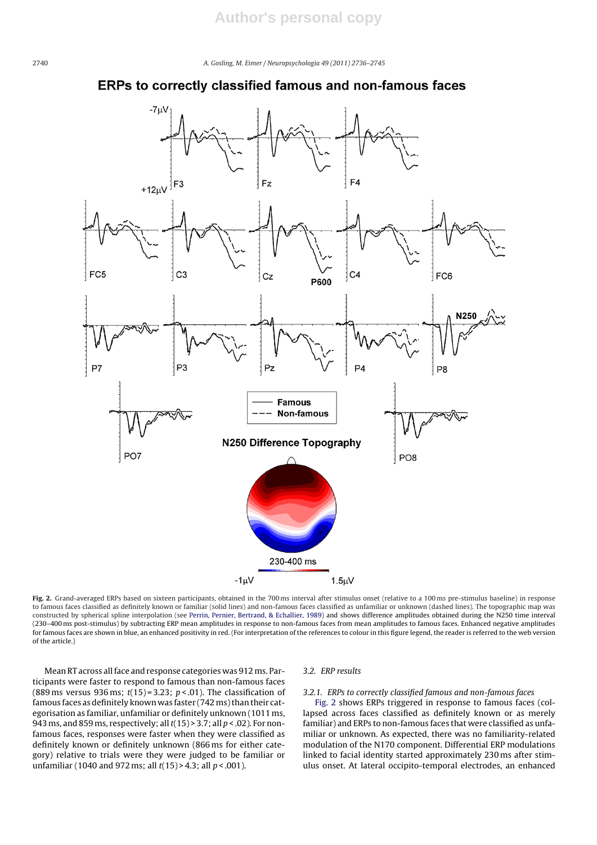2740 A. Gosling, M. Eimer / Neuropsychologia *49 (2011) 2736–2745*

## **ERPs to correctly classified famous and non-famous faces**



**Fig. 2.** Grand-averaged ERPs based on sixteen participants, obtained in the 700 ms interval after stimulus onset (relative to a 100 ms pre-stimulus baseline) in response to famous faces classified as definitely known or familiar (solid lines) and non-famous faces classified as unfamiliar or unknown (dashed lines). The topographic map was constructed by spherical spline interpolation (see Perrin, Pernier, Bertrand, & Echallier, 1989) and shows difference amplitudes obtained during the N250 time interval (230–400 ms post-stimulus) by subtracting ERP mean amplitudes in response to non-famous faces from mean amplitudes to famous faces. Enhanced negative amplitudes for famous faces are shown in blue, an enhanced positivity in red. (For interpretation of the references to colour in this figure legend, the reader is referred to the web version of the article.)

Mean RT across all face and response categories was 912 ms. Participants were faster to respond to famous than non-famous faces (889 ms versus 936 ms;  $t(15) = 3.23$ ;  $p < .01$ ). The classification of famous faces as definitely known was faster (742 ms) than their categorisation as familiar, unfamiliar or definitely unknown (1011 ms, 943 ms, and 859 ms, respectively; all  $t(15)$  > 3.7; all  $p < .02$ ). For nonfamous faces, responses were faster when they were classified as definitely known or definitely unknown (866 ms for either category) relative to trials were they were judged to be familiar or unfamiliar (1040 and 972 ms; all  $t(15)$  > 4.3; all  $p < .001$ ).

### 3.2. ERP results

#### 3.2.1. ERPs to correctly classified famous and non-famous faces

Fig. 2 shows ERPs triggered in response to famous faces (collapsed across faces classified as definitely known or as merely familiar) and ERPs to non-famous faces that were classified as unfamiliar or unknown. As expected, there was no familiarity-related modulation of the N170 component. Differential ERP modulations linked to facial identity started approximately 230 ms after stimulus onset. At lateral occipito-temporal electrodes, an enhanced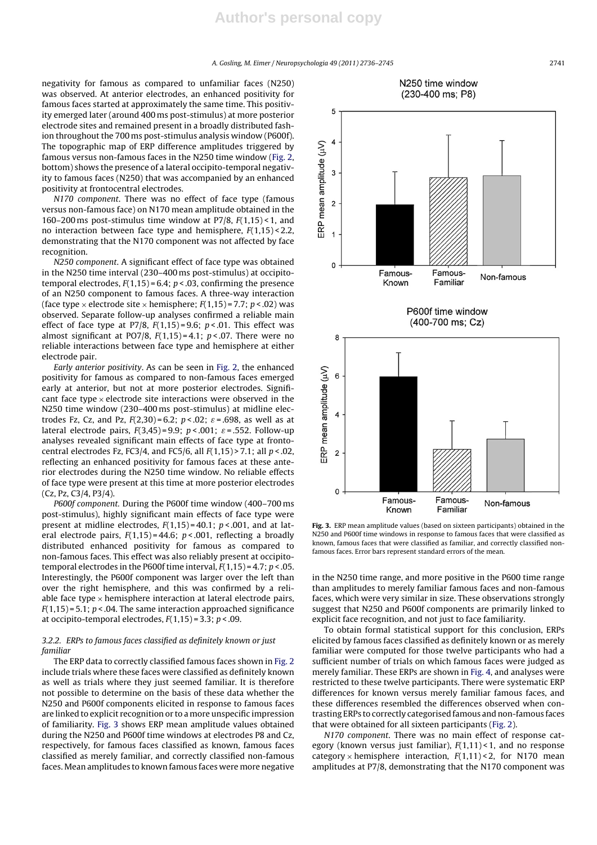A. Gosling, M. Eimer / Neuropsychologia *49 (2011) 2736–2745* 2741

negativity for famous as compared to unfamiliar faces (N250) was observed. At anterior electrodes, an enhanced positivity for famous faces started at approximately the same time. This positivity emerged later (around 400 ms post-stimulus) at more posterior electrode sites and remained present in a broadly distributed fashion throughout the 700 ms post-stimulus analysis window (P600f). The topographic map of ERP difference amplitudes triggered by famous versus non-famous faces in the N250 time window (Fig. 2, bottom) shows the presence of a lateral occipito-temporal negativity to famous faces (N250) that was accompanied by an enhanced positivity at frontocentral electrodes.

N170 component. There was no effect of face type (famous versus non-famous face) on N170 mean amplitude obtained in the 160–200 ms post-stimulus time window at P7/8,  $F(1,15)$  < 1, and no interaction between face type and hemisphere,  $F(1,15) < 2.2$ , demonstrating that the N170 component was not affected by face recognition.

N250 component. A significant effect of face type was obtained in the N250 time interval (230–400 ms post-stimulus) at occipitotemporal electrodes,  $F(1,15) = 6.4$ ;  $p < .03$ , confirming the presence of an N250 component to famous faces. A three-way interaction (face type  $\times$  electrode site  $\times$  hemisphere;  $F(1.15) = 7.7$ ;  $p < .02$ ) was observed. Separate follow-up analyses confirmed a reliable main effect of face type at P7/8,  $F(1,15) = 9.6$ ;  $p < .01$ . This effect was almost significant at PO7/8,  $F(1,15) = 4.1$ ;  $p < .07$ . There were no reliable interactions between face type and hemisphere at either electrode pair.

Early anterior positivity. As can be seen in Fig. 2, the enhanced positivity for famous as compared to non-famous faces emerged early at anterior, but not at more posterior electrodes. Significant face type  $\times$  electrode site interactions were observed in the N250 time window (230–400 ms post-stimulus) at midline electrodes Fz, Cz, and Pz,  $F(2,30) = 6.2$ ;  $p < .02$ ;  $\varepsilon = .698$ , as well as at lateral electrode pairs,  $F(3,45) = 9.9$ ;  $p < .001$ ;  $\varepsilon = .552$ . Follow-up analyses revealed significant main effects of face type at frontocentral electrodes Fz, FC3/4, and FC5/6, all  $F(1,15)$  > 7.1; all  $p < .02$ , reflecting an enhanced positivity for famous faces at these anterior electrodes during the N250 time window. No reliable effects of face type were present at this time at more posterior electrodes (Cz, Pz, C3/4, P3/4).

P600f component. During the P600f time window (400–700 ms post-stimulus), highly significant main effects of face type were present at midline electrodes,  $F(1,15) = 40.1$ ;  $p < .001$ , and at lateral electrode pairs,  $F(1,15) = 44.6$ ;  $p < .001$ , reflecting a broadly distributed enhanced positivity for famous as compared to non-famous faces. This effect was also reliably present at occipitotemporal electrodes in the P600f time interval,  $F(1,15) = 4.7$ ;  $p < .05$ . Interestingly, the P600f component was larger over the left than over the right hemisphere, and this was confirmed by a reliable face type  $\times$  hemisphere interaction at lateral electrode pairs,  $F(1,15) = 5.1$ ;  $p < .04$ . The same interaction approached significance at occipito-temporal electrodes,  $F(1,15) = 3.3$ ;  $p < .09$ .

## 3.2.2. ERPs to famous faces classified as definitely known or just familiar

The ERP data to correctly classified famous faces shown in Fig. 2 include trials where these faces were classified as definitely known as well as trials where they just seemed familiar. It is therefore not possible to determine on the basis of these data whether the N250 and P600f components elicited in response to famous faces are linked to explicit recognition or to a more unspecific impression of familiarity. Fig. 3 shows ERP mean amplitude values obtained during the N250 and P600f time windows at electrodes P8 and Cz, respectively, for famous faces classified as known, famous faces classified as merely familiar, and correctly classified non-famous faces. Mean amplitudes to known famous faces were more negative



N250 time window

**Fig. 3.** ERP mean amplitude values (based on sixteen participants) obtained in the N250 and P600f time windows in response to famous faces that were classified as known, famous faces that were classified as familiar, and correctly classified nonfamous faces. Error bars represent standard errors of the mean.

in the N250 time range, and more positive in the P600 time range than amplitudes to merely familiar famous faces and non-famous faces, which were very similar in size. These observations strongly suggest that N250 and P600f components are primarily linked to explicit face recognition, and not just to face familiarity.

To obtain formal statistical support for this conclusion, ERPs elicited by famous faces classified as definitely known or as merely familiar were computed for those twelve participants who had a sufficient number of trials on which famous faces were judged as merely familiar. These ERPs are shown in Fig. 4, and analyses were restricted to these twelve participants. There were systematic ERP differences for known versus merely familiar famous faces, and these differences resembled the differences observed when contrasting ERPs to correctly categorised famous and non-famous faces that were obtained for all sixteen participants (Fig. 2).

N170 component. There was no main effect of response category (known versus just familiar),  $F(1,11)$  < 1, and no response category  $\times$  hemisphere interaction,  $F(1,11)$  < 2, for N170 mean amplitudes at P7/8, demonstrating that the N170 component was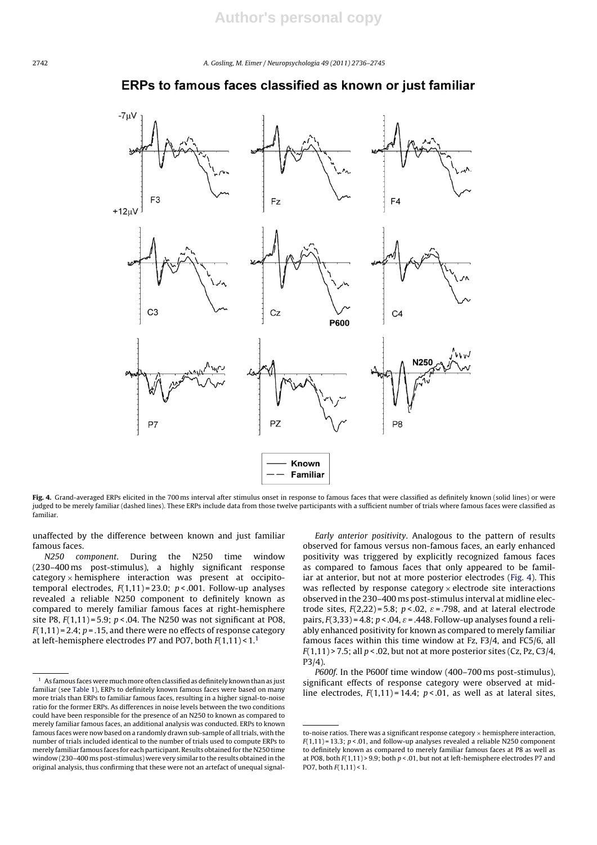2742 A. Gosling, M. Eimer / Neuropsychologia *49 (2011) 2736–2745*

## ERPs to famous faces classified as known or just familiar



Fig. 4. Grand-averaged ERPs elicited in the 700 ms interval after stimulus onset in response to famous faces that were classified as definitely known (solid lines) or were judged to be merely familiar (dashed lines). These ERPs include data from those twelve participants with a sufficient number of trials where famous faces were classified as familiar.

unaffected by the difference between known and just familiar famous faces.

N250 component. During the N250 time window (230–400 ms post-stimulus), a highly significant response  $category \times hemisphere$  interaction was present at occipitotemporal electrodes,  $F(1,11) = 23.0$ ;  $p < .001$ . Follow-up analyses revealed a reliable N250 component to definitely known as compared to merely familiar famous faces at right-hemisphere site P8,  $F(1,11) = 5.9$ ;  $p < .04$ . The N250 was not significant at PO8,  $F(1,11)$  = 2.4;  $p$  = .15, and there were no effects of response category at left-hemisphere electrodes P7 and PO7, both  $F(1,11) < 1<sup>1</sup>$ 

Early anterior positivity. Analogous to the pattern of results observed for famous versus non-famous faces, an early enhanced positivity was triggered by explicitly recognized famous faces as compared to famous faces that only appeared to be familiar at anterior, but not at more posterior electrodes (Fig. 4). This was reflected by response category  $\times$  electrode site interactions observed in the 230–400 ms post-stimulus interval at midline electrode sites,  $F(2,22) = 5.8$ ;  $p < .02$ ,  $\varepsilon = .798$ , and at lateral electrode pairs,  $F(3,33) = 4.8$ ;  $p < .04$ ,  $\varepsilon = .448$ . Follow-up analyses found a reliably enhanced positivity for known as compared to merely familiar famous faces within this time window at Fz, F3/4, and FC5/6, all  $F(1,11)$  > 7.5; all  $p < 0.02$ , but not at more posterior sites (Cz, Pz, C3/4, P3/4).

P600f. In the P600f time window (400–700 ms post-stimulus), significant effects of response category were observed at midline electrodes,  $F(1,11) = 14.4$ ;  $p < .01$ , as well as at lateral sites,

 $^{\rm 1} \,$  As famous faces were much more often classified as definitely known than as just familiar (see Table 1), ERPs to definitely known famous faces were based on many more trials than ERPs to familiar famous faces, resulting in a higher signal-to-noise ratio for the former ERPs. As differences in noise levels between the two conditions could have been responsible for the presence of an N250 to known as compared to merely familiar famous faces, an additional analysis was conducted. ERPs to known famous faces were now based on a randomly drawn sub-sample of alltrials, with the number of trials included identical to the number of trials used to compute ERPs to merely familiar famous faces for each participant. Results obtained for the N250 time window (230–400 ms post-stimulus) were very similar to the results obtained in the original analysis, thus confirming that these were not an artefact of unequal signal-

to-noise ratios. There was a significant response category  $\times$  hemisphere interaction,  $F(1,11) = 13.3$ ;  $p < 0.01$ , and follow-up analyses revealed a reliable N250 component to definitely known as compared to merely familiar famous faces at P8 as well as at PO8, both  $F(1,11)$  > 9.9; both  $p < 01$ , but not at left-hemisphere electrodes P7 and PO7, both  $F(1,11) < 1$ .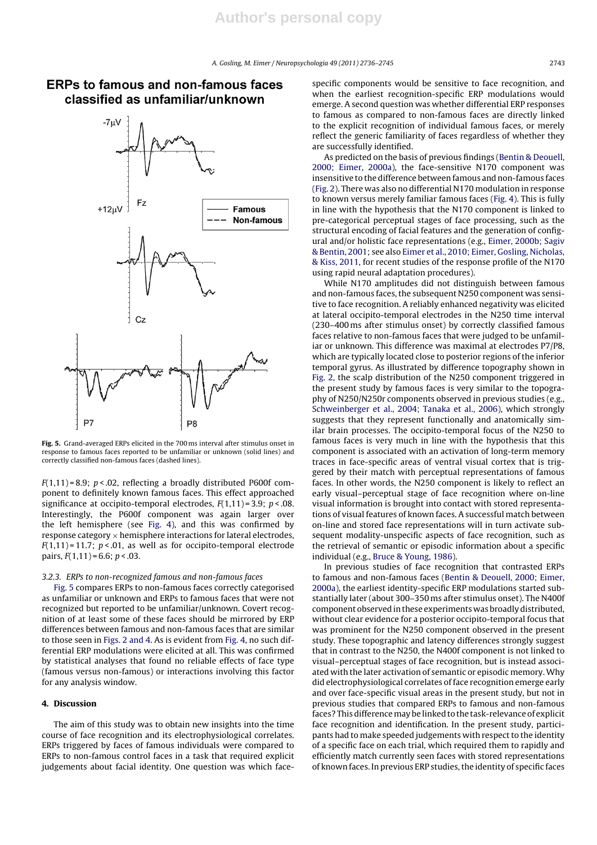

# **ERPs to famous and non-famous faces** classified as unfamiliar/unknown

**Fig. 5.** Grand-averaged ERPs elicited in the 700 ms interval after stimulus onset in response to famous faces reported to be unfamiliar or unknown (solid lines) and correctly classified non-famous faces (dashed lines).

 $F(1,11) = 8.9$ ;  $p < .02$ , reflecting a broadly distributed P600f component to definitely known famous faces. This effect approached significance at occipito-temporal electrodes,  $F(1,11) = 3.9$ ;  $p < .08$ . Interestingly, the P600f component was again larger over the left hemisphere (see Fig. 4), and this was confirmed by response category  $\times$  hemisphere interactions for lateral electrodes,  $F(1,11) = 11.7$ ;  $p < .01$ , as well as for occipito-temporal electrode pairs,  $F(1,11) = 6.6$ ;  $p < .03$ .

### 3.2.3. ERPs to non-recognized famous and non-famous faces

Fig. 5 compares ERPs to non-famous faces correctly categorised as unfamiliar or unknown and ERPs to famous faces that were not recognized but reported to be unfamiliar/unknown. Covert recognition of at least some of these faces should be mirrored by ERP differences between famous and non-famous faces that are similar to those seen in Figs. 2 and 4. As is evident from Fig. 4, no such differential ERP modulations were elicited at all. This was confirmed by statistical analyses that found no reliable effects of face type (famous versus non-famous) or interactions involving this factor for any analysis window.

#### **4. Discussion**

The aim of this study was to obtain new insights into the time course of face recognition and its electrophysiological correlates. ERPs triggered by faces of famous individuals were compared to ERPs to non-famous control faces in a task that required explicit judgements about facial identity. One question was which facespecific components would be sensitive to face recognition, and when the earliest recognition-specific ERP modulations would emerge. A second question was whether differential ERP responses to famous as compared to non-famous faces are directly linked to the explicit recognition of individual famous faces, or merely reflect the generic familiarity of faces regardless of whether they are successfully identified.

As predicted on the basis of previous findings (Bentin & Deouell, 2000; Eimer, 2000a), the face-sensitive N170 component was insensitive to the difference between famous and non-famous faces (Fig. 2). There was also no differential N170 modulation in response to known versus merely familiar famous faces (Fig. 4). This is fully in line with the hypothesis that the N170 component is linked to pre-categorical perceptual stages of face processing, such as the structural encoding of facial features and the generation of configural and/or holistic face representations (e.g., Eimer, 2000b; Sagiv & Bentin, 2001; see also Eimer et al., 2010; Eimer, Gosling, Nicholas, & Kiss, 2011, for recent studies of the response profile of the N170 using rapid neural adaptation procedures).

While N170 amplitudes did not distinguish between famous and non-famous faces, the subsequent N250 component was sensitive to face recognition. A reliably enhanced negativity was elicited at lateral occipito-temporal electrodes in the N250 time interval (230–400 ms after stimulus onset) by correctly classified famous faces relative to non-famous faces that were judged to be unfamiliar or unknown. This difference was maximal at electrodes P7/P8, which are typically located close to posterior regions of the inferior temporal gyrus. As illustrated by difference topography shown in Fig. 2, the scalp distribution of the N250 component triggered in the present study by famous faces is very similar to the topography of N250/N250r components observed in previous studies (e.g., Schweinberger et al., 2004; Tanaka et al., 2006), which strongly suggests that they represent functionally and anatomically similar brain processes. The occipito-temporal focus of the N250 to famous faces is very much in line with the hypothesis that this component is associated with an activation of long-term memory traces in face-specific areas of ventral visual cortex that is triggered by their match with perceptual representations of famous faces. In other words, the N250 component is likely to reflect an early visual–perceptual stage of face recognition where on-line visual information is brought into contact with stored representations of visual features of known faces. A successful match between on-line and stored face representations will in turn activate subsequent modality-unspecific aspects of face recognition, such as the retrieval of semantic or episodic information about a specific individual (e.g., Bruce & Young, 1986).

In previous studies of face recognition that contrasted ERPs to famous and non-famous faces (Bentin & Deouell, 2000; Eimer, 2000a), the earliest identity-specific ERP modulations started substantially later (about 300–350 ms after stimulus onset). The N400f component observed in these experiments was broadly distributed, without clear evidence for a posterior occipito-temporal focus that was prominent for the N250 component observed in the present study. These topographic and latency differences strongly suggest that in contrast to the N250, the N400f component is not linked to visual–perceptual stages of face recognition, but is instead associated with the later activation of semantic or episodic memory. Why did electrophysiological correlates of face recognition emerge early and over face-specific visual areas in the present study, but not in previous studies that compared ERPs to famous and non-famous faces? This difference may be linked to the task-relevance of explicit face recognition and identification. In the present study, participants had to make speeded judgements with respect to the identity of a specific face on each trial, which required them to rapidly and efficiently match currently seen faces with stored representations of known faces. In previous ERP studies, the identity of specific faces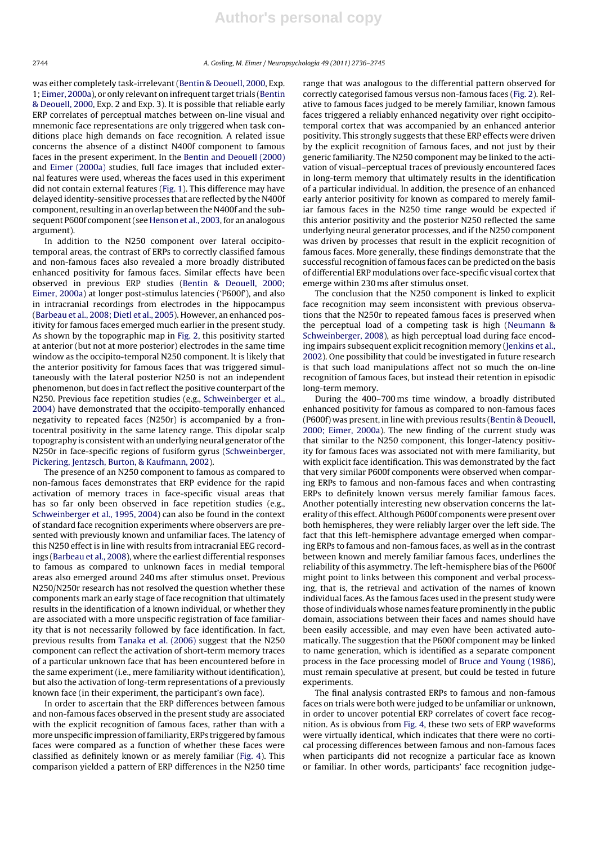was either completely task-irrelevant(Bentin & Deouell, 2000, Exp. 1; Eimer, 2000a), or only relevant on infrequent target trials (Bentin & Deouell, 2000, Exp. 2 and Exp. 3). It is possible that reliable early ERP correlates of perceptual matches between on-line visual and mnemonic face representations are only triggered when task conditions place high demands on face recognition. A related issue concerns the absence of a distinct N400f component to famous faces in the present experiment. In the Bentin and Deouell (2000) and Eimer (2000a) studies, full face images that included external features were used, whereas the faces used in this experiment did not contain external features (Fig. 1). This difference may have delayed identity-sensitive processes that are reflected by the N400f component, resulting in an overlap between the N400f and the subsequent P600f component (see Henson et al., 2003, for an analogous argument).

In addition to the N250 component over lateral occipitotemporal areas, the contrast of ERPs to correctly classified famous and non-famous faces also revealed a more broadly distributed enhanced positivity for famous faces. Similar effects have been observed in previous ERP studies (Bentin & Deouell, 2000; Eimer, 2000a) at longer post-stimulus latencies ('P600f'), and also in intracranial recordings from electrodes in the hippocampus (Barbeau et al., 2008; Dietl et al., 2005). However, an enhanced positivity for famous faces emerged much earlier in the present study. As shown by the topographic map in Fig. 2, this positivity started at anterior (but not at more posterior) electrodes in the same time window as the occipito-temporal N250 component. It is likely that the anterior positivity for famous faces that was triggered simultaneously with the lateral posterior N250 is not an independent phenomenon, but does in fact reflect the positive counterpart of the N250. Previous face repetition studies (e.g., Schweinberger et al., 2004) have demonstrated that the occipito-temporally enhanced negativity to repeated faces (N250r) is accompanied by a frontocentral positivity in the same latency range. This dipolar scalp topography is consistent with an underlying neural generator ofthe N250r in face-specific regions of fusiform gyrus (Schweinberger, Pickering, Jentzsch, Burton, & Kaufmann, 2002).

The presence of an N250 component to famous as compared to non-famous faces demonstrates that ERP evidence for the rapid activation of memory traces in face-specific visual areas that has so far only been observed in face repetition studies (e.g., Schweinberger et al., 1995, 2004) can also be found in the context of standard face recognition experiments where observers are presented with previously known and unfamiliar faces. The latency of this N250 effect is in line with results from intracranial EEG recordings (Barbeau et al., 2008), where the earliest differential responses to famous as compared to unknown faces in medial temporal areas also emerged around 240 ms after stimulus onset. Previous N250/N250r research has not resolved the question whether these components mark an early stage of face recognition that ultimately results in the identification of a known individual, or whether they are associated with a more unspecific registration of face familiarity that is not necessarily followed by face identification. In fact, previous results from Tanaka et al. (2006) suggest that the N250 component can reflect the activation of short-term memory traces of a particular unknown face that has been encountered before in the same experiment (i.e., mere familiarity without identification), but also the activation of long-term representations of a previously known face (in their experiment, the participant's own face).

In order to ascertain that the ERP differences between famous and non-famous faces observed in the present study are associated with the explicit recognition of famous faces, rather than with a more unspecific impression offamiliarity, ERPs triggered by famous faces were compared as a function of whether these faces were classified as definitely known or as merely familiar (Fig. 4). This comparison yielded a pattern of ERP differences in the N250 time range that was analogous to the differential pattern observed for correctly categorised famous versus non-famous faces (Fig. 2). Relative to famous faces judged to be merely familiar, known famous faces triggered a reliably enhanced negativity over right occipitotemporal cortex that was accompanied by an enhanced anterior positivity. This strongly suggests that these ERP effects were driven by the explicit recognition of famous faces, and not just by their generic familiarity. The N250 component may be linked to the activation of visual–perceptual traces of previously encountered faces in long-term memory that ultimately results in the identification of a particular individual. In addition, the presence of an enhanced early anterior positivity for known as compared to merely familiar famous faces in the N250 time range would be expected if this anterior positivity and the posterior N250 reflected the same underlying neural generator processes, and if the N250 component was driven by processes that result in the explicit recognition of famous faces. More generally, these findings demonstrate that the successful recognition of famous faces can be predicted on the basis of differential ERP modulations over face-specific visual cortex that emerge within 230 ms after stimulus onset.

The conclusion that the N250 component is linked to explicit face recognition may seem inconsistent with previous observations that the N250r to repeated famous faces is preserved when the perceptual load of a competing task is high (Neumann & Schweinberger, 2008), as high perceptual load during face encoding impairs subsequent explicit recognition memory (Jenkins et al., 2002). One possibility that could be investigated in future research is that such load manipulations affect not so much the on-line recognition of famous faces, but instead their retention in episodic long-term memory.

During the 400–700 ms time window, a broadly distributed enhanced positivity for famous as compared to non-famous faces (P600f) was present, in line with previous results (Bentin & Deouell, 2000; Eimer, 2000a). The new finding of the current study was that similar to the N250 component, this longer-latency positivity for famous faces was associated not with mere familiarity, but with explicit face identification. This was demonstrated by the fact that very similar P600f components were observed when comparing ERPs to famous and non-famous faces and when contrasting ERPs to definitely known versus merely familiar famous faces. Another potentially interesting new observation concerns the laterality of this effect. Although P600f components were present over both hemispheres, they were reliably larger over the left side. The fact that this left-hemisphere advantage emerged when comparing ERPs to famous and non-famous faces, as well as in the contrast between known and merely familiar famous faces, underlines the reliability of this asymmetry. The left-hemisphere bias of the P600f might point to links between this component and verbal processing, that is, the retrieval and activation of the names of known individual faces. As the famous faces used in the present study were those ofindividuals whose names feature prominently in the public domain, associations between their faces and names should have been easily accessible, and may even have been activated automatically. The suggestion that the P600f component may be linked to name generation, which is identified as a separate component process in the face processing model of Bruce and Young (1986), must remain speculative at present, but could be tested in future experiments.

The final analysis contrasted ERPs to famous and non-famous faces on trials were both were judged to be unfamiliar or unknown, in order to uncover potential ERP correlates of covert face recognition. As is obvious from Fig. 4, these two sets of ERP waveforms were virtually identical, which indicates that there were no cortical processing differences between famous and non-famous faces when participants did not recognize a particular face as known or familiar. In other words, participants' face recognition judge